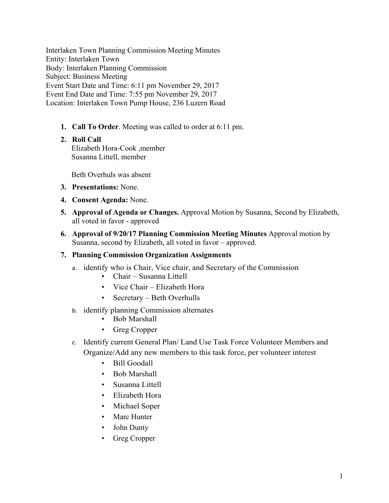Interlaken Town Planning Commission Meeting Minutes Entity: Interlaken Town Body: Interlaken Planning Commission Subject: Business Meeting Event Start Date and Time: 6:11 pm November 29, 2017 Event End Date and Time: 7:55 pm November 29, 2017 Location: Interlaken Town Pump House, 236 Luzern Road

**1. Call To Order**. Meeting was called to order at 6:11 pm.

# **2. Roll Call**

Elizabeth Hora-Cook ,member Susanna Littell, member

Beth Overhuls was absent

- **3. Presentations:** None.
- **4. Consent Agenda:** None.
- **5. Approval of Agenda or Changes.** Approval Motion by Susanna, Second by Elizabeth, all voted in favor - approved
- **6. Approval of 9/20/17 Planning Commission Meeting Minutes** Approval motion by Susanna, second by Elizabeth, all voted in favor – approved.

#### **7. Planning Commission Organization Assignments**

- a. identify who is Chair, Vice chair, and Secretary of the Commission
	- Chair Susanna Littell
	- Vice Chair Elizabeth Hora
	- Secretary Beth Overhulls
- b. identify planning Commission alternates
	- Bob Marshall
	- Greg Cropper
- c. Identify current General Plan/ Land Use Task Force Volunteer Members and Organize/Add any new members to this task force, per volunteer interest
	- Bill Goodall
	- Bob Marshall
	- Susanna Littell
	- Elizabeth Hora
	- Michael Soper
	- Marc Hunter
	- John Dunty
	- Greg Cropper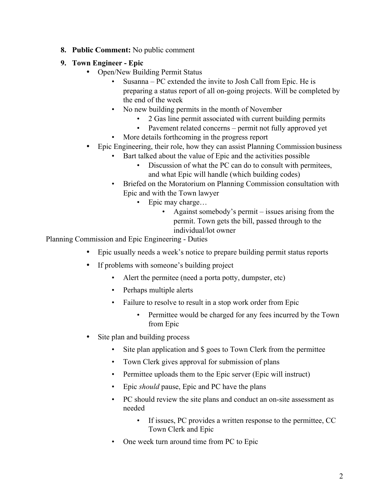- **8. Public Comment:** No public comment
- **9. Town Engineer - Epic**
	- Open/New Building Permit Status
		- Susanna PC extended the invite to Josh Call from Epic. He is preparing a status report of all on-going projects. Will be completed by the end of the week
		- No new building permits in the month of November
			- 2 Gas line permit associated with current building permits
			- Pavement related concerns permit not fully approved yet
		- More details forthcoming in the progress report
	- Epic Engineering, their role, how they can assist Planning Commission business
		- Bart talked about the value of Epic and the activities possible
			- Discussion of what the PC can do to consult with permitees, and what Epic will handle (which building codes)
		- Briefed on the Moratorium on Planning Commission consultation with Epic and with the Town lawyer
			- Epic may charge...
				- Against somebody's permit issues arising from the permit. Town gets the bill, passed through to the individual/lot owner

Planning Commission and Epic Engineering - Duties

- Epic usually needs a week's notice to prepare building permit status reports
- If problems with someone's building project
	- Alert the permitee (need a porta potty, dumpster, etc)
	- Perhaps multiple alerts
	- Failure to resolve to result in a stop work order from Epic
		- Permittee would be charged for any fees incurred by the Town from Epic
- Site plan and building process
	- Site plan application and \$ goes to Town Clerk from the permittee
	- Town Clerk gives approval for submission of plans
	- Permittee uploads them to the Epic server (Epic will instruct)
	- Epic *should* pause, Epic and PC have the plans
	- PC should review the site plans and conduct an on-site assessment as needed
		- If issues, PC provides a written response to the permittee, CC Town Clerk and Epic
	- One week turn around time from PC to Epic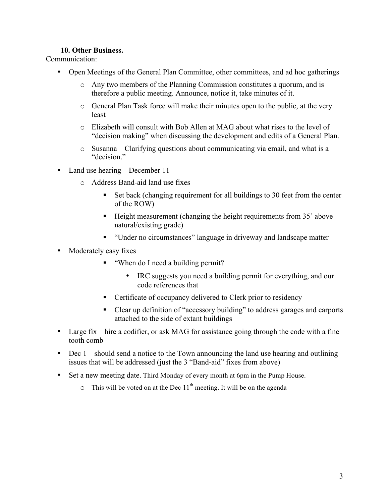### **10. Other Business.**

Communication:

- Open Meetings of the General Plan Committee, other committees, and ad hoc gatherings
	- o Any two members of the Planning Commission constitutes a quorum, and is therefore a public meeting. Announce, notice it, take minutes of it.
	- o General Plan Task force will make their minutes open to the public, at the very least
	- o Elizabeth will consult with Bob Allen at MAG about what rises to the level of "decision making" when discussing the development and edits of a General Plan.
	- o Susanna Clarifying questions about communicating via email, and what is a "decision."
- Land use hearing December 11
	- o Address Band-aid land use fixes
		- Set back (changing requirement for all buildings to 30 feet from the center of the ROW)
		- Height measurement (changing the height requirements from 35' above natural/existing grade)
		- "Under no circumstances" language in driveway and landscape matter
- Moderately easy fixes
	- "When do I need a building permit?
		- IRC suggests you need a building permit for everything, and our code references that
	- Certificate of occupancy delivered to Clerk prior to residency
	- Clear up definition of "accessory building" to address garages and carports attached to the side of extant buildings
- Large fix hire a codifier, or ask MAG for assistance going through the code with a fine tooth comb
- Dec 1 should send a notice to the Town announcing the land use hearing and outlining issues that will be addressed (just the 3 "Band-aid" fixes from above)
- Set a new meeting date. Third Monday of every month at 6pm in the Pump House.
	- $\circ$  This will be voted on at the Dec 11<sup>th</sup> meeting. It will be on the agenda